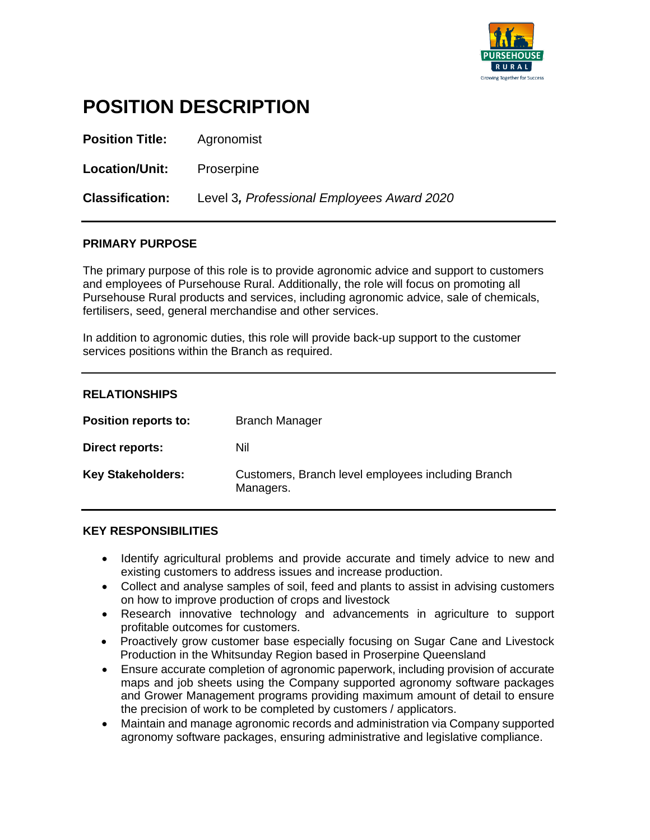

# **POSITION DESCRIPTION**

**Position Title:** Agronomist

**Location/Unit:** Proserpine

**Classification:** Level 3*, Professional Employees Award 2020*

#### **PRIMARY PURPOSE**

The primary purpose of this role is to provide agronomic advice and support to customers and employees of Pursehouse Rural. Additionally, the role will focus on promoting all Pursehouse Rural products and services, including agronomic advice, sale of chemicals, fertilisers, seed, general merchandise and other services.

In addition to agronomic duties, this role will provide back-up support to the customer services positions within the Branch as required.

| <b>RELATIONSHIPS</b>     |                                                                 |
|--------------------------|-----------------------------------------------------------------|
| Position reports to:     | <b>Branch Manager</b>                                           |
| Direct reports:          | Nil                                                             |
| <b>Key Stakeholders:</b> | Customers, Branch level employees including Branch<br>Managers. |

#### **KEY RESPONSIBILITIES**

- Identify agricultural problems and provide accurate and timely advice to new and existing customers to address issues and increase production.
- Collect and analyse samples of soil, feed and plants to assist in advising customers on how to improve production of crops and livestock
- Research innovative technology and advancements in agriculture to support profitable outcomes for customers.
- Proactively grow customer base especially focusing on Sugar Cane and Livestock Production in the Whitsunday Region based in Proserpine Queensland
- Ensure accurate completion of agronomic paperwork, including provision of accurate maps and job sheets using the Company supported agronomy software packages and Grower Management programs providing maximum amount of detail to ensure the precision of work to be completed by customers / applicators.
- Maintain and manage agronomic records and administration via Company supported agronomy software packages, ensuring administrative and legislative compliance.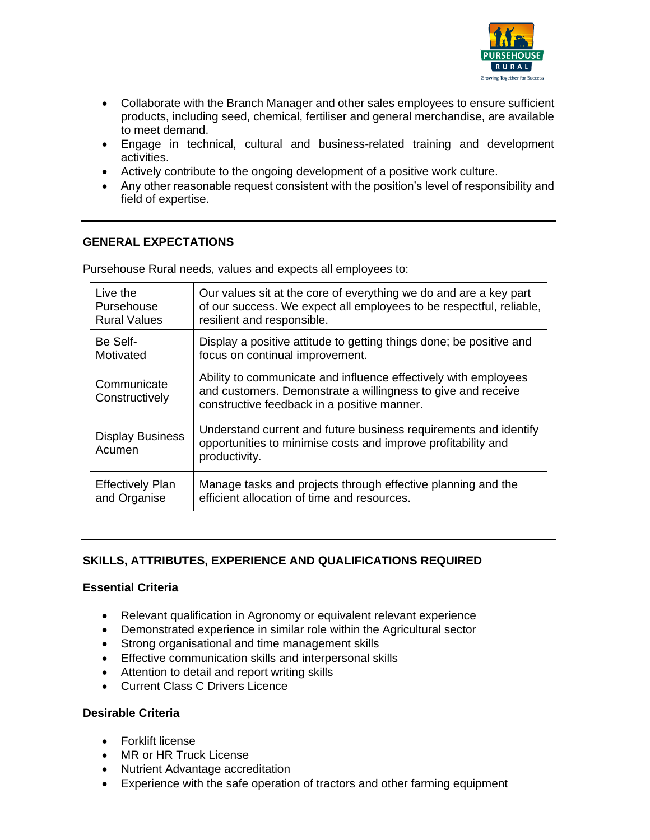

- Collaborate with the Branch Manager and other sales employees to ensure sufficient products, including seed, chemical, fertiliser and general merchandise, are available to meet demand.
- Engage in technical, cultural and business-related training and development activities.
- Actively contribute to the ongoing development of a positive work culture.
- Any other reasonable request consistent with the position's level of responsibility and field of expertise.

#### **GENERAL EXPECTATIONS**

Pursehouse Rural needs, values and expects all employees to:

| Live the                                                                                                                                                                                                        | Our values sit at the core of everything we do and are a key part                                                                                  |  |  |  |  |
|-----------------------------------------------------------------------------------------------------------------------------------------------------------------------------------------------------------------|----------------------------------------------------------------------------------------------------------------------------------------------------|--|--|--|--|
| Pursehouse                                                                                                                                                                                                      | of our success. We expect all employees to be respectful, reliable,                                                                                |  |  |  |  |
| <b>Rural Values</b>                                                                                                                                                                                             | resilient and responsible.                                                                                                                         |  |  |  |  |
| Be Self-                                                                                                                                                                                                        | Display a positive attitude to getting things done; be positive and                                                                                |  |  |  |  |
| Motivated                                                                                                                                                                                                       | focus on continual improvement.                                                                                                                    |  |  |  |  |
| Ability to communicate and influence effectively with employees<br>Communicate<br>and customers. Demonstrate a willingness to give and receive<br>Constructively<br>constructive feedback in a positive manner. |                                                                                                                                                    |  |  |  |  |
| <b>Display Business</b><br>Acumen                                                                                                                                                                               | Understand current and future business requirements and identify<br>opportunities to minimise costs and improve profitability and<br>productivity. |  |  |  |  |
| <b>Effectively Plan</b>                                                                                                                                                                                         | Manage tasks and projects through effective planning and the                                                                                       |  |  |  |  |
| and Organise                                                                                                                                                                                                    | efficient allocation of time and resources.                                                                                                        |  |  |  |  |

#### **SKILLS, ATTRIBUTES, EXPERIENCE AND QUALIFICATIONS REQUIRED**

#### **Essential Criteria**

- Relevant qualification in Agronomy or equivalent relevant experience
- Demonstrated experience in similar role within the Agricultural sector
- Strong organisational and time management skills
- Effective communication skills and interpersonal skills
- Attention to detail and report writing skills
- Current Class C Drivers Licence

#### **Desirable Criteria**

- Forklift license
- MR or HR Truck License
- Nutrient Advantage accreditation
- Experience with the safe operation of tractors and other farming equipment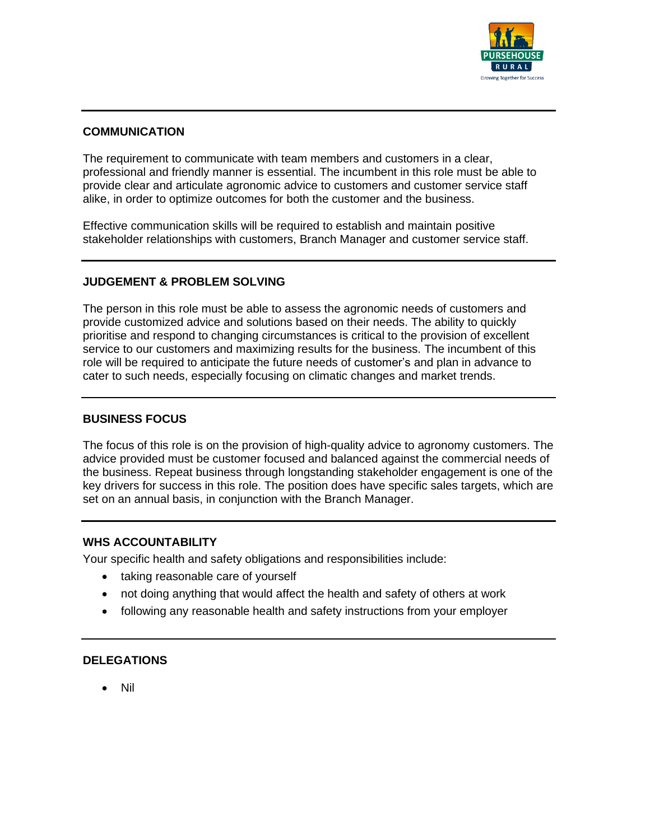

#### **COMMUNICATION**

The requirement to communicate with team members and customers in a clear, professional and friendly manner is essential. The incumbent in this role must be able to provide clear and articulate agronomic advice to customers and customer service staff alike, in order to optimize outcomes for both the customer and the business.

Effective communication skills will be required to establish and maintain positive stakeholder relationships with customers, Branch Manager and customer service staff.

#### **JUDGEMENT & PROBLEM SOLVING**

The person in this role must be able to assess the agronomic needs of customers and provide customized advice and solutions based on their needs. The ability to quickly prioritise and respond to changing circumstances is critical to the provision of excellent service to our customers and maximizing results for the business. The incumbent of this role will be required to anticipate the future needs of customer's and plan in advance to cater to such needs, especially focusing on climatic changes and market trends.

#### **BUSINESS FOCUS**

The focus of this role is on the provision of high-quality advice to agronomy customers. The advice provided must be customer focused and balanced against the commercial needs of the business. Repeat business through longstanding stakeholder engagement is one of the key drivers for success in this role. The position does have specific sales targets, which are set on an annual basis, in conjunction with the Branch Manager.

#### **WHS ACCOUNTABILITY**

Your specific health and safety obligations and responsibilities include:

- taking reasonable care of yourself
- not doing anything that would affect the health and safety of others at work
- following any reasonable health and safety instructions from your employer

#### **DELEGATIONS**

• Nil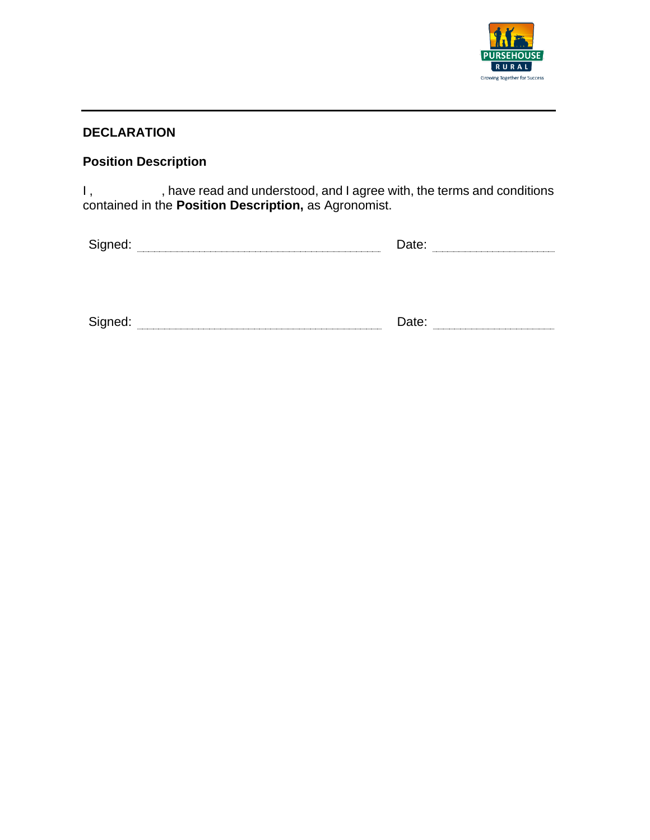

## **DECLARATION**

# **Position Description**

I, have read and understood, and I agree with, the terms and conditions contained in the **Position Description,** as Agronomist.

| $\sim$<br>¬…<br>- |  |  |
|-------------------|--|--|
|                   |  |  |